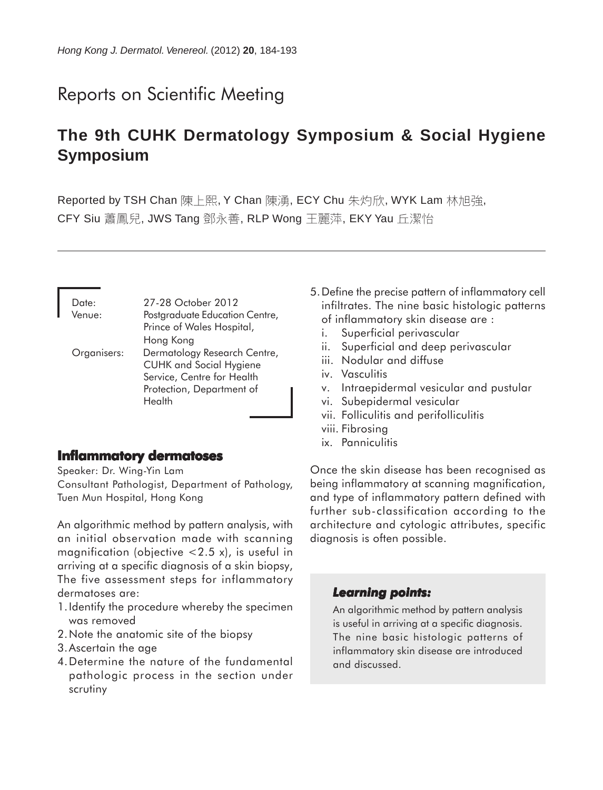# Reports on Scientific Meeting

# **The 9th CUHK Dermatology Symposium & Social Hygiene Symposium**

Reported by TSH Chan 陳上熙, Y Chan 陳湧, ECY Chu 朱灼欣, WYK Lam 林旭強, CFY Siu 蕭鳳兒, JWS Tang 鄧永善, RLP Wong 王麗萍, EKY Yau 丘潔怡

Date: 27-28 October 2012 Venue: Postgraduate Education Centre, Prince of Wales Hospital, Hong Kong Organisers: Dermatology Research Centre, CUHK and Social Hygiene Service, Centre for Health Protection, Department of **Health** 

## **Inflammatory dermatoses**

Speaker: Dr. Wing-Yin Lam

Consultant Pathologist, Department of Pathology, Tuen Mun Hospital, Hong Kong

An algorithmic method by pattern analysis, with an initial observation made with scanning magnification (objective  $<$  2.5 x), is useful in arriving at a specific diagnosis of a skin biopsy, The five assessment steps for inflammatory dermatoses are:

- 1.Identify the procedure whereby the specimen was removed
- 2.Note the anatomic site of the biopsy
- 3.Ascertain the age
- 4.Determine the nature of the fundamental pathologic process in the section under scrutiny
- 5.Define the precise pattern of inflammatory cell infiltrates. The nine basic histologic patterns of inflammatory skin disease are :
	- i. Superficial perivascular
	- ii. Superficial and deep perivascular
	- iii. Nodular and diffuse
	- iv. Vasculitis
	- v. Intraepidermal vesicular and pustular
	- vi. Subepidermal vesicular
	- vii. Folliculitis and perifolliculitis
	- viii. Fibrosing
	- ix. Panniculitis

Once the skin disease has been recognised as being inflammatory at scanning magnification, and type of inflammatory pattern defined with further sub-classification according to the architecture and cytologic attributes, specific diagnosis is often possible.

## *Learning points: Learning points:*

An algorithmic method by pattern analysis is useful in arriving at a specific diagnosis. The nine basic histologic patterns of inflammatory skin disease are introduced and discussed.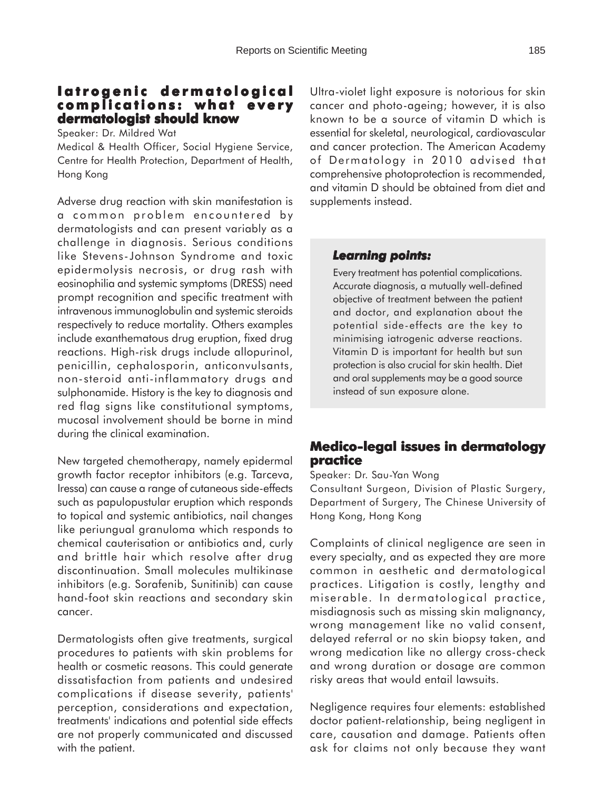# **Iatrogenic dermatological Iatrogenic dermatological complications: what every dermatologist should know**

Speaker: Dr. Mildred Wat

Medical & Health Officer, Social Hygiene Service, Centre for Health Protection, Department of Health, Hong Kong

Adverse drug reaction with skin manifestation is a common problem encountered by dermatologists and can present variably as a challenge in diagnosis. Serious conditions like Stevens-Johnson Syndrome and toxic epidermolysis necrosis, or drug rash with eosinophilia and systemic symptoms (DRESS) need prompt recognition and specific treatment with intravenous immunoglobulin and systemic steroids respectively to reduce mortality. Others examples include exanthematous drug eruption, fixed drug reactions. High-risk drugs include allopurinol, penicillin, cephalosporin, anticonvulsants, non-steroid anti-inflammatory drugs and sulphonamide. History is the key to diagnosis and red flag signs like constitutional symptoms, mucosal involvement should be borne in mind during the clinical examination.

New targeted chemotherapy, namely epidermal growth factor receptor inhibitors (e.g. Tarceva, Iressa) can cause a range of cutaneous side-effects such as papulopustular eruption which responds to topical and systemic antibiotics, nail changes like periungual granuloma which responds to chemical cauterisation or antibiotics and, curly and brittle hair which resolve after drug discontinuation. Small molecules multikinase inhibitors (e.g. Sorafenib, Sunitinib) can cause hand-foot skin reactions and secondary skin cancer.

Dermatologists often give treatments, surgical procedures to patients with skin problems for health or cosmetic reasons. This could generate dissatisfaction from patients and undesired complications if disease severity, patients' perception, considerations and expectation, treatments' indications and potential side effects are not properly communicated and discussed with the patient.

Ultra-violet light exposure is notorious for skin cancer and photo-ageing; however, it is also known to be a source of vitamin D which is essential for skeletal, neurological, cardiovascular and cancer protection. The American Academy of Dermatology in 2010 advised that comprehensive photoprotection is recommended, and vitamin D should be obtained from diet and supplements instead.

## *Learning points: Learning points:*

Every treatment has potential complications. Accurate diagnosis, a mutually well-defined objective of treatment between the patient and doctor, and explanation about the potential side-effects are the key to minimising iatrogenic adverse reactions. Vitamin D is important for health but sun protection is also crucial for skin health. Diet and oral supplements may be a good source instead of sun exposure alone.

# **Medico-legal issues in dermatology practice**

Speaker: Dr. Sau-Yan Wong

Consultant Surgeon, Division of Plastic Surgery, Department of Surgery, The Chinese University of Hong Kong, Hong Kong

Complaints of clinical negligence are seen in every specialty, and as expected they are more common in aesthetic and dermatological practices. Litigation is costly, lengthy and miserable. In dermatological practice, misdiagnosis such as missing skin malignancy, wrong management like no valid consent, delayed referral or no skin biopsy taken, and wrong medication like no allergy cross-check and wrong duration or dosage are common risky areas that would entail lawsuits.

Negligence requires four elements: established doctor patient-relationship, being negligent in care, causation and damage. Patients often ask for claims not only because they want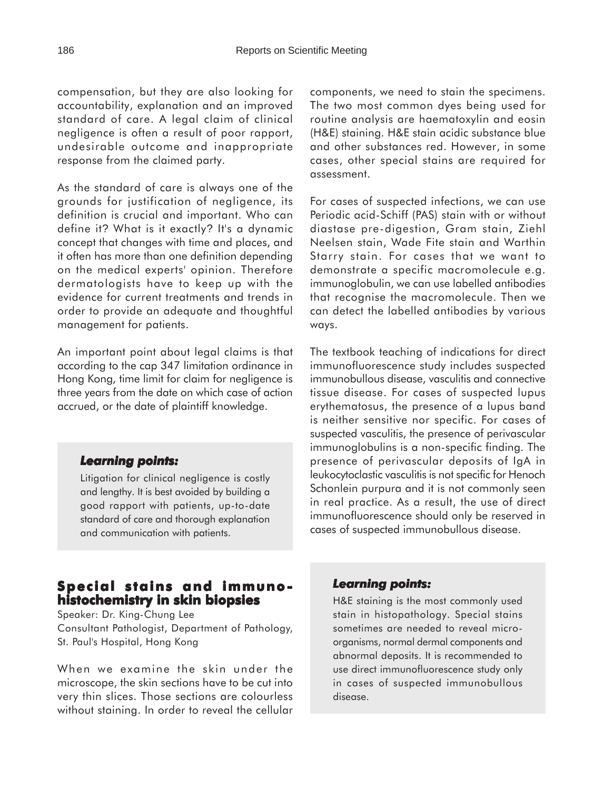compensation, but they are also looking for accountability, explanation and an improved standard of care. A legal claim of clinical negligence is often a result of poor rapport, undesirable outcome and inappropriate response from the claimed party.

As the standard of care is always one of the grounds for justification of negligence, its definition is crucial and important. Who can define it? What is it exactly? It's a dynamic concept that changes with time and places, and it often has more than one definition depending on the medical experts' opinion. Therefore dermatologists have to keep up with the evidence for current treatments and trends in order to provide an adequate and thoughtful management for patients.

An important point about legal claims is that according to the cap 347 limitation ordinance in Hong Kong, time limit for claim for negligence is three years from the date on which case of action accrued, or the date of plaintiff knowledge.

## *Learning points: Learning*

Litigation for clinical negligence is costly and lengthy. It is best avoided by building a good rapport with patients, up-to-date standard of care and thorough explanation and communication with patients.

# **Special stains and immunohistochemistry in skin biopsies**

Speaker: Dr. King-Chung Lee Consultant Pathologist, Department of Pathology, St. Paul's Hospital, Hong Kong

When we examine the skin under the microscope, the skin sections have to be cut into very thin slices. Those sections are colourless without staining. In order to reveal the cellular

components, we need to stain the specimens. The two most common dyes being used for routine analysis are haematoxylin and eosin (H&E) staining. H&E stain acidic substance blue and other substances red. However, in some cases, other special stains are required for assessment.

For cases of suspected infections, we can use Periodic acid-Schiff (PAS) stain with or without diastase pre-digestion, Gram stain, Ziehl Neelsen stain, Wade Fite stain and Warthin Starry stain. For cases that we want to demonstrate a specific macromolecule e.g. immunoglobulin, we can use labelled antibodies that recognise the macromolecule. Then we can detect the labelled antibodies by various ways.

The textbook teaching of indications for direct immunofluorescence study includes suspected immunobullous disease, vasculitis and connective tissue disease. For cases of suspected lupus erythematosus, the presence of a lupus band is neither sensitive nor specific. For cases of suspected vasculitis, the presence of perivascular immunoglobulins is a non-specific finding. The presence of perivascular deposits of IgA in leukocytoclastic vasculitis is not specific for Henoch Schonlein purpura and it is not commonly seen in real practice. As a result, the use of direct immunofluorescence should only be reserved in cases of suspected immunobullous disease.

#### *Learning points: Learning points:*

H&E staining is the most commonly used stain in histopathology. Special stains sometimes are needed to reveal microorganisms, normal dermal components and abnormal deposits. It is recommended to use direct immunofluorescence study only in cases of suspected immunobullous disease.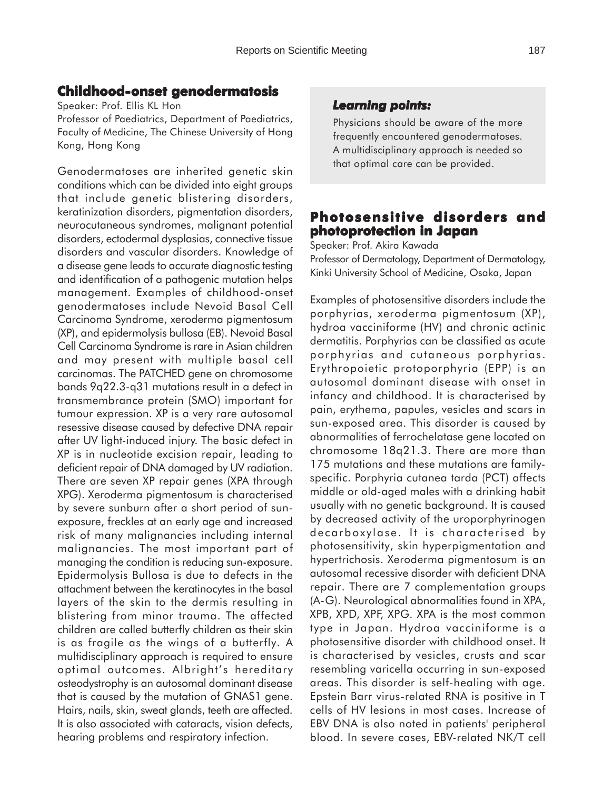# **Childhood-onset genodermatosis**

Speaker: Prof. Ellis KL Hon

Professor of Paediatrics, Department of Paediatrics, Faculty of Medicine, The Chinese University of Hong Kong, Hong Kong

Genodermatoses are inherited genetic skin conditions which can be divided into eight groups that include genetic blistering disorders, keratinization disorders, pigmentation disorders, neurocutaneous syndromes, malignant potential disorders, ectodermal dysplasias, connective tissue disorders and vascular disorders. Knowledge of a disease gene leads to accurate diagnostic testing and identification of a pathogenic mutation helps management. Examples of childhood-onset genodermatoses include Nevoid Basal Cell Carcinoma Syndrome, xeroderma pigmentosum (XP), and epidermolysis bullosa (EB). Nevoid Basal Cell Carcinoma Syndrome is rare in Asian children and may present with multiple basal cell carcinomas. The PATCHED gene on chromosome bands 9q22.3-q31 mutations result in a defect in transmembrance protein (SMO) important for tumour expression. XP is a very rare autosomal resessive disease caused by defective DNA repair after UV light-induced injury. The basic defect in XP is in nucleotide excision repair, leading to deficient repair of DNA damaged by UV radiation. There are seven XP repair genes (XPA through XPG). Xeroderma pigmentosum is characterised by severe sunburn after a short period of sunexposure, freckles at an early age and increased risk of many malignancies including internal malignancies. The most important part of managing the condition is reducing sun-exposure. Epidermolysis Bullosa is due to defects in the attachment between the keratinocytes in the basal layers of the skin to the dermis resulting in blistering from minor trauma. The affected children are called butterfly children as their skin is as fragile as the wings of a butterfly. A multidisciplinary approach is required to ensure optimal outcomes. Albright's hereditary osteodystrophy is an autosomal dominant disease that is caused by the mutation of GNAS1 gene. Hairs, nails, skin, sweat glands, teeth are affected. It is also associated with cataracts, vision defects, hearing problems and respiratory infection.

# *Learning points: Learning points:*

Physicians should be aware of the more frequently encountered genodermatoses. A multidisciplinary approach is needed so that optimal care can be provided.

# **Photosensitive disorders and photoprotection in Japan**

Speaker: Prof. Akira Kawada

Professor of Dermatology, Department of Dermatology, Kinki University School of Medicine, Osaka, Japan

Examples of photosensitive disorders include the porphyrias, xeroderma pigmentosum (XP), hydroa vacciniforme (HV) and chronic actinic dermatitis. Porphyrias can be classified as acute porphyrias and cutaneous porphyrias. Erythropoietic protoporphyria (EPP) is an autosomal dominant disease with onset in infancy and childhood. It is characterised by pain, erythema, papules, vesicles and scars in sun-exposed area. This disorder is caused by abnormalities of ferrochelatase gene located on chromosome 18q21.3. There are more than 175 mutations and these mutations are familyspecific. Porphyria cutanea tarda (PCT) affects middle or old-aged males with a drinking habit usually with no genetic background. It is caused by decreased activity of the uroporphyrinogen decarboxylase. It is characterised by photosensitivity, skin hyperpigmentation and hypertrichosis. Xeroderma pigmentosum is an autosomal recessive disorder with deficient DNA repair. There are 7 complementation groups (A-G). Neurological abnormalities found in XPA, XPB, XPD, XPF, XPG. XPA is the most common type in Japan. Hydroa vacciniforme is a photosensitive disorder with childhood onset. It is characterised by vesicles, crusts and scar resembling varicella occurring in sun-exposed areas. This disorder is self-healing with age. Epstein Barr virus-related RNA is positive in T cells of HV lesions in most cases. Increase of EBV DNA is also noted in patients' peripheral blood. In severe cases, EBV-related NK/T cell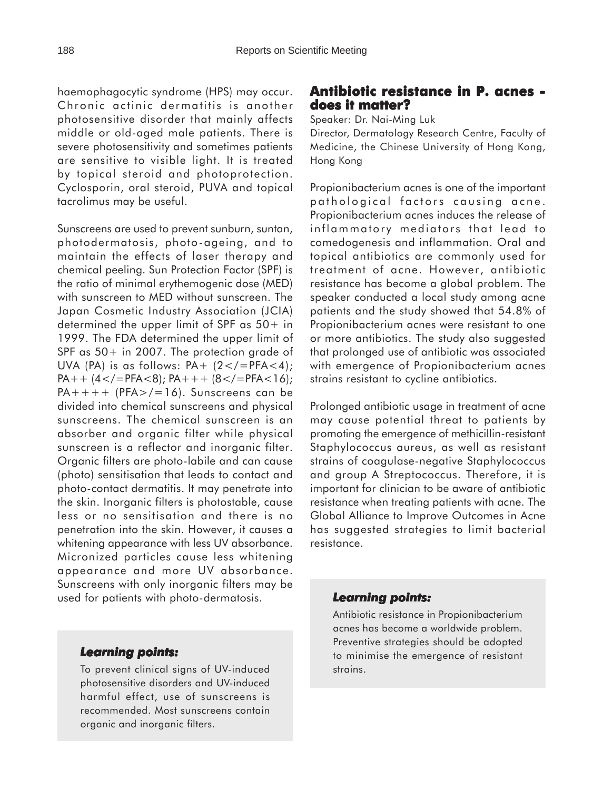haemophagocytic syndrome (HPS) may occur. Chronic actinic dermatitis is another photosensitive disorder that mainly affects middle or old-aged male patients. There is severe photosensitivity and sometimes patients are sensitive to visible light. It is treated by topical steroid and photoprotection. Cyclosporin, oral steroid, PUVA and topical tacrolimus may be useful.

Sunscreens are used to prevent sunburn, suntan, photodermatosis, photo-ageing, and to maintain the effects of laser therapy and chemical peeling. Sun Protection Factor (SPF) is the ratio of minimal erythemogenic dose (MED) with sunscreen to MED without sunscreen. The Japan Cosmetic Industry Association (JCIA) determined the upper limit of SPF as 50+ in 1999. The FDA determined the upper limit of SPF as  $50+$  in 2007. The protection grade of UVA (PA) is as follows:  $PA + (2 < / = PFA < 4)$ ; PA++  $(4 <$ /=PFA $<$ 8); PA+++  $(8 <$ /=PFA $<$ 16);  $PA++++$  (PFA $>$ /=16). Sunscreens can be divided into chemical sunscreens and physical sunscreens. The chemical sunscreen is an absorber and organic filter while physical sunscreen is a reflector and inorganic filter. Organic filters are photo-labile and can cause (photo) sensitisation that leads to contact and photo-contact dermatitis. It may penetrate into the skin. Inorganic filters is photostable, cause less or no sensitisation and there is no penetration into the skin. However, it causes a whitening appearance with less UV absorbance. Micronized particles cause less whitening appearance and more UV absorbance. Sunscreens with only inorganic filters may be used for patients with photo-dermatosis.

# **Antibiotic resistance in P. acnes does it matter?**

Speaker: Dr. Nai-Ming Luk

Director, Dermatology Research Centre, Faculty of Medicine, the Chinese University of Hong Kong, Hong Kong

Propionibacterium acnes is one of the important pathological factors causing acne. Propionibacterium acnes induces the release of inflammatory mediators that lead to comedogenesis and inflammation. Oral and topical antibiotics are commonly used for treatment of acne. However, antibiotic resistance has become a global problem. The speaker conducted a local study among acne patients and the study showed that 54.8% of Propionibacterium acnes were resistant to one or more antibiotics. The study also suggested that prolonged use of antibiotic was associated with emergence of Propionibacterium acnes strains resistant to cycline antibiotics.

Prolonged antibiotic usage in treatment of acne may cause potential threat to patients by promoting the emergence of methicillin-resistant Staphylococcus aureus, as well as resistant strains of coagulase-negative Staphylococcus and group A Streptococcus. Therefore, it is important for clinician to be aware of antibiotic resistance when treating patients with acne. The Global Alliance to Improve Outcomes in Acne has suggested strategies to limit bacterial resistance.

## *Learning points: Learning points:*

Antibiotic resistance in Propionibacterium acnes has become a worldwide problem. Preventive strategies should be adopted to minimise the emergence of resistant strains.

## *Learning points: Learning*

To prevent clinical signs of UV-induced photosensitive disorders and UV-induced harmful effect, use of sunscreens is recommended. Most sunscreens contain organic and inorganic filters.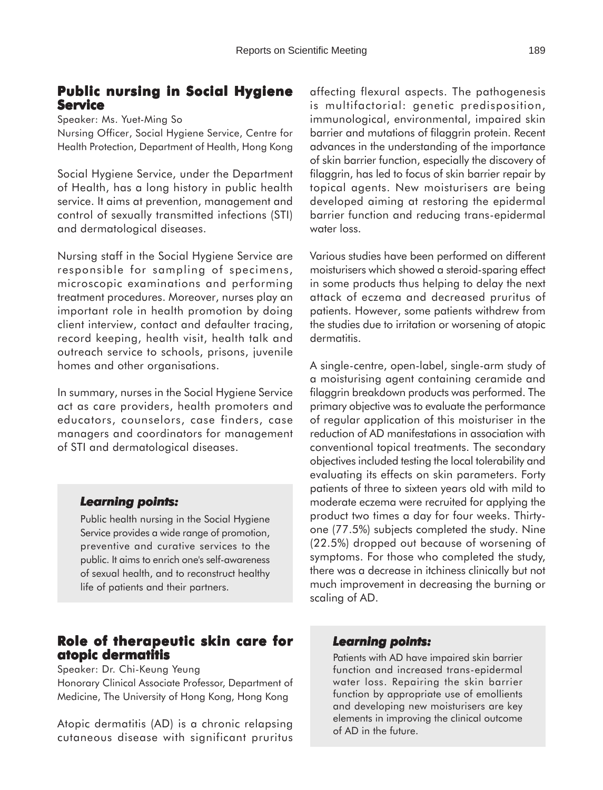# **Public nursing in Social Hygiene Service**

Speaker: Ms. Yuet-Ming So

Nursing Officer, Social Hygiene Service, Centre for Health Protection, Department of Health, Hong Kong

Social Hygiene Service, under the Department of Health, has a long history in public health service. It aims at prevention, management and control of sexually transmitted infections (STI) and dermatological diseases.

Nursing staff in the Social Hygiene Service are responsible for sampling of specimens, microscopic examinations and performing treatment procedures. Moreover, nurses play an important role in health promotion by doing client interview, contact and defaulter tracing, record keeping, health visit, health talk and outreach service to schools, prisons, juvenile homes and other organisations.

In summary, nurses in the Social Hygiene Service act as care providers, health promoters and educators, counselors, case finders, case managers and coordinators for management of STI and dermatological diseases.

#### *Learning points: Learning*

Public health nursing in the Social Hygiene Service provides a wide range of promotion, preventive and curative services to the public. It aims to enrich one's self-awareness of sexual health, and to reconstruct healthy life of patients and their partners.

# **Role of therapeutic skin care for atopic dermatitis**

Speaker: Dr. Chi-Keung Yeung

Honorary Clinical Associate Professor, Department of Medicine, The University of Hong Kong, Hong Kong

Atopic dermatitis (AD) is a chronic relapsing cutaneous disease with significant pruritus affecting flexural aspects. The pathogenesis is multifactorial: genetic predisposition, immunological, environmental, impaired skin barrier and mutations of filaggrin protein. Recent advances in the understanding of the importance of skin barrier function, especially the discovery of filaggrin, has led to focus of skin barrier repair by topical agents. New moisturisers are being developed aiming at restoring the epidermal barrier function and reducing trans-epidermal water loss.

Various studies have been performed on different moisturisers which showed a steroid-sparing effect in some products thus helping to delay the next attack of eczema and decreased pruritus of patients. However, some patients withdrew from the studies due to irritation or worsening of atopic dermatitis.

A single-centre, open-label, single-arm study of a moisturising agent containing ceramide and filaggrin breakdown products was performed. The primary objective was to evaluate the performance of regular application of this moisturiser in the reduction of AD manifestations in association with conventional topical treatments. The secondary objectives included testing the local tolerability and evaluating its effects on skin parameters. Forty patients of three to sixteen years old with mild to moderate eczema were recruited for applying the product two times a day for four weeks. Thirtyone (77.5%) subjects completed the study. Nine (22.5%) dropped out because of worsening of symptoms. For those who completed the study, there was a decrease in itchiness clinically but not much improvement in decreasing the burning or scaling of AD.

#### *Learning points: Learning points:*

Patients with AD have impaired skin barrier function and increased trans-epidermal water loss. Repairing the skin barrier function by appropriate use of emollients and developing new moisturisers are key elements in improving the clinical outcome of AD in the future.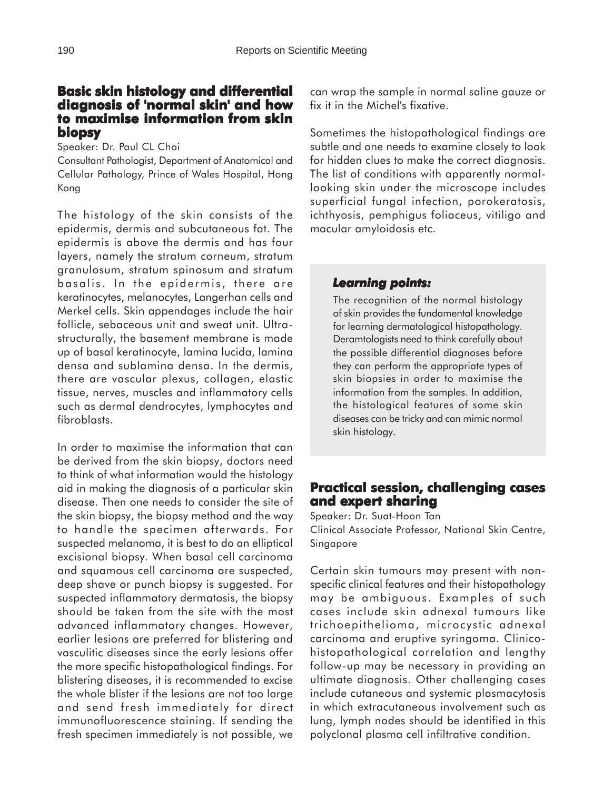# **Basic skin histology and differential histology differential diagnosis of 'normal skin' and how to maximise information from skin biopsy**

Speaker: Dr. Paul CL Choi

Consultant Pathologist, Department of Anatomical and Cellular Pathology, Prince of Wales Hospital, Hong Kong

The histology of the skin consists of the epidermis, dermis and subcutaneous fat. The epidermis is above the dermis and has four layers, namely the stratum corneum, stratum granulosum, stratum spinosum and stratum basalis. In the epidermis, there are keratinocytes, melanocytes, Langerhan cells and Merkel cells. Skin appendages include the hair follicle, sebaceous unit and sweat unit. Ultrastructurally, the basement membrane is made up of basal keratinocyte, lamina lucida, lamina densa and sublamina densa. In the dermis, there are vascular plexus, collagen, elastic tissue, nerves, muscles and inflammatory cells such as dermal dendrocytes, lymphocytes and fibroblasts.

In order to maximise the information that can be derived from the skin biopsy, doctors need to think of what information would the histology aid in making the diagnosis of a particular skin disease. Then one needs to consider the site of the skin biopsy, the biopsy method and the way to handle the specimen afterwards. For suspected melanoma, it is best to do an elliptical excisional biopsy. When basal cell carcinoma and squamous cell carcinoma are suspected, deep shave or punch biopsy is suggested. For suspected inflammatory dermatosis, the biopsy should be taken from the site with the most advanced inflammatory changes. However, earlier lesions are preferred for blistering and vasculitic diseases since the early lesions offer the more specific histopathological findings. For blistering diseases, it is recommended to excise the whole blister if the lesions are not too large and send fresh immediately for direct immunofluorescence staining. If sending the fresh specimen immediately is not possible, we

can wrap the sample in normal saline gauze or fix it in the Michel's fixative.

Sometimes the histopathological findings are subtle and one needs to examine closely to look for hidden clues to make the correct diagnosis. The list of conditions with apparently normallooking skin under the microscope includes superficial fungal infection, porokeratosis, ichthyosis, pemphigus foliaceus, vitiligo and macular amyloidosis etc.

## *Learning points: Learning points:*

The recognition of the normal histology of skin provides the fundamental knowledge for learning dermatological histopathology. Deramtologists need to think carefully about the possible differential diagnoses before they can perform the appropriate types of skin biopsies in order to maximise the information from the samples. In addition, the histological features of some skin diseases can be tricky and can mimic normal skin histology.

# **Practical session, challenging cases and expert sharing**

Speaker: Dr. Suat-Hoon Tan Clinical Associate Professor, National Skin Centre, Singapore

Certain skin tumours may present with nonspecific clinical features and their histopathology may be ambiguous. Examples of such cases include skin adnexal tumours like trichoepithelioma, microcystic adnexal carcinoma and eruptive syringoma. Clinicohistopathological correlation and lengthy follow-up may be necessary in providing an ultimate diagnosis. Other challenging cases include cutaneous and systemic plasmacytosis in which extracutaneous involvement such as lung, lymph nodes should be identified in this polyclonal plasma cell infiltrative condition.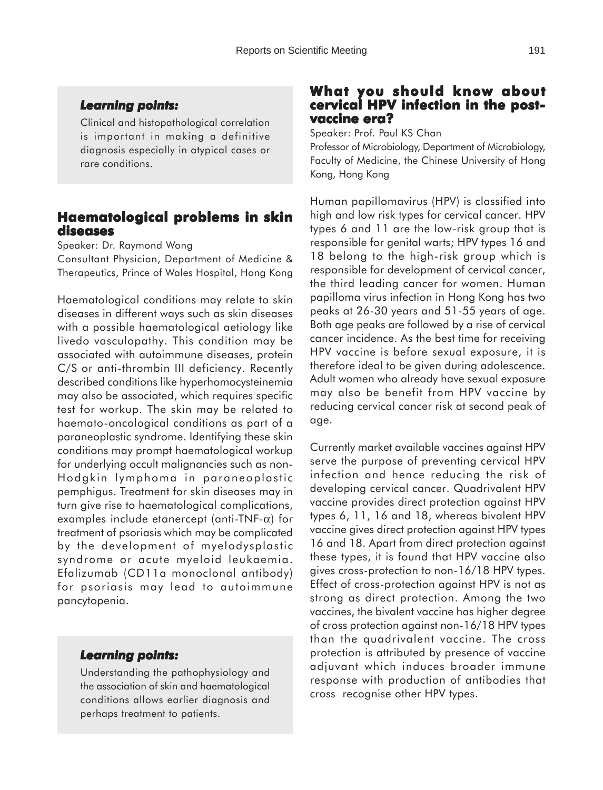Clinical and histopathological correlation is important in making a definitive diagnosis especially in atypical cases or rare conditions.

# **Haematological problems in skin diseases**

Speaker: Dr. Raymond Wong

Consultant Physician, Department of Medicine & Therapeutics, Prince of Wales Hospital, Hong Kong

Haematological conditions may relate to skin diseases in different ways such as skin diseases with a possible haematological aetiology like livedo vasculopathy. This condition may be associated with autoimmune diseases, protein C/S or anti-thrombin III deficiency. Recently described conditions like hyperhomocysteinemia may also be associated, which requires specific test for workup. The skin may be related to haemato-oncological conditions as part of a paraneoplastic syndrome. Identifying these skin conditions may prompt haematological workup for underlying occult malignancies such as non-Hodgkin lymphoma in paraneoplastic pemphigus. Treatment for skin diseases may in turn give rise to haematological complications, examples include etanercept (anti-TNF-α) for treatment of psoriasis which may be complicated by the development of myelodysplastic syndrome or acute myeloid leukaemia. Efalizumab (CD11a monoclonal antibody) for psoriasis may lead to autoimmune pancytopenia.

#### *Learning points: Learning*

Understanding the pathophysiology and the association of skin and haematological conditions allows earlier diagnosis and perhaps treatment to patients.

## **What you should know about What you should about** cervical HPV infection in the post**vaccine era?**

Speaker: Prof. Paul KS Chan

Professor of Microbiology, Department of Microbiology, Faculty of Medicine, the Chinese University of Hong Kong, Hong Kong

Human papillomavirus (HPV) is classified into high and low risk types for cervical cancer. HPV types 6 and 11 are the low-risk group that is responsible for genital warts; HPV types 16 and 18 belong to the high-risk group which is responsible for development of cervical cancer, the third leading cancer for women. Human papilloma virus infection in Hong Kong has two peaks at 26-30 years and 51-55 years of age. Both age peaks are followed by a rise of cervical cancer incidence. As the best time for receiving HPV vaccine is before sexual exposure, it is therefore ideal to be given during adolescence. Adult women who already have sexual exposure may also be benefit from HPV vaccine by reducing cervical cancer risk at second peak of age.

Currently market available vaccines against HPV serve the purpose of preventing cervical HPV infection and hence reducing the risk of developing cervical cancer. Quadrivalent HPV vaccine provides direct protection against HPV types 6, 11, 16 and 18, whereas bivalent HPV vaccine gives direct protection against HPV types 16 and 18. Apart from direct protection against these types, it is found that HPV vaccine also gives cross-protection to non-16/18 HPV types. Effect of cross-protection against HPV is not as strong as direct protection. Among the two vaccines, the bivalent vaccine has higher degree of cross protection against non-16/18 HPV types than the quadrivalent vaccine. The cross protection is attributed by presence of vaccine adjuvant which induces broader immune response with production of antibodies that cross recognise other HPV types.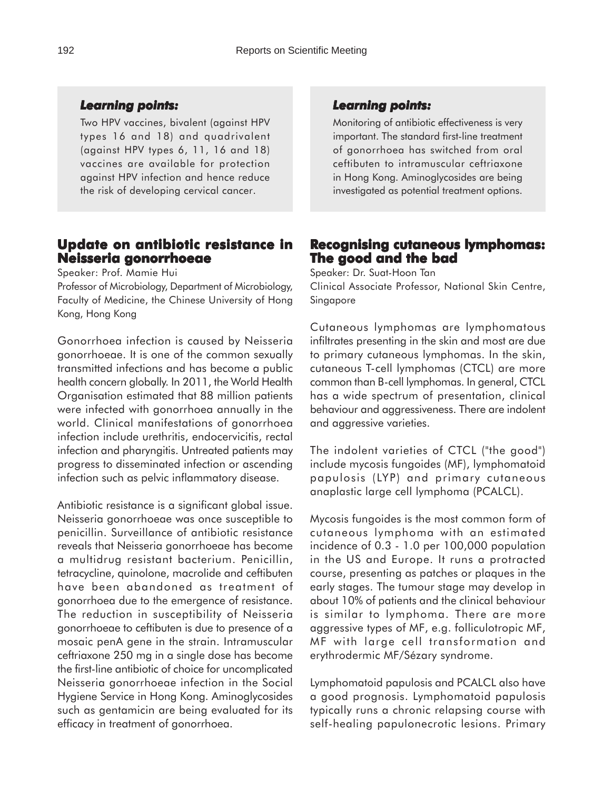#### *Learning points: Learning*

Two HPV vaccines, bivalent (against HPV types 16 and 18) and quadrivalent (against HPV types 6, 11, 16 and 18) vaccines are available for protection against HPV infection and hence reduce the risk of developing cervical cancer.

# **Update on antibiotic resistance in Neisseria gonorrhoeae**

Speaker: Prof. Mamie Hui

Professor of Microbiology, Department of Microbiology, Faculty of Medicine, the Chinese University of Hong Kong, Hong Kong

Gonorrhoea infection is caused by Neisseria gonorrhoeae. It is one of the common sexually transmitted infections and has become a public health concern globally. In 2011, the World Health Organisation estimated that 88 million patients were infected with gonorrhoea annually in the world. Clinical manifestations of gonorrhoea infection include urethritis, endocervicitis, rectal infection and pharyngitis. Untreated patients may progress to disseminated infection or ascending infection such as pelvic inflammatory disease.

Antibiotic resistance is a significant global issue. Neisseria gonorrhoeae was once susceptible to penicillin. Surveillance of antibiotic resistance reveals that Neisseria gonorrhoeae has become a multidrug resistant bacterium. Penicillin, tetracycline, quinolone, macrolide and ceftibuten have been abandoned as treatment of gonorrhoea due to the emergence of resistance. The reduction in susceptibility of Neisseria gonorrhoeae to ceftibuten is due to presence of a mosaic penA gene in the strain. Intramuscular ceftriaxone 250 mg in a single dose has become the first-line antibiotic of choice for uncomplicated Neisseria gonorrhoeae infection in the Social Hygiene Service in Hong Kong. Aminoglycosides such as gentamicin are being evaluated for its efficacy in treatment of gonorrhoea.

#### *Learning points: Learning points:*

Monitoring of antibiotic effectiveness is very important. The standard first-line treatment of gonorrhoea has switched from oral ceftibuten to intramuscular ceftriaxone in Hong Kong. Aminoglycosides are being investigated as potential treatment options.

## **Recognising cutaneous lymphomas: ecognising cutaneous lymphomas: The good and the bad**

Speaker: Dr. Suat-Hoon Tan Clinical Associate Professor, National Skin Centre, Singapore

Cutaneous lymphomas are lymphomatous infiltrates presenting in the skin and most are due to primary cutaneous lymphomas. In the skin, cutaneous T-cell lymphomas (CTCL) are more common than B-cell lymphomas. In general, CTCL has a wide spectrum of presentation, clinical behaviour and aggressiveness. There are indolent and aggressive varieties.

The indolent varieties of CTCL ("the good") include mycosis fungoides (MF), lymphomatoid papulosis (LYP) and primary cutaneous anaplastic large cell lymphoma (PCALCL).

Mycosis fungoides is the most common form of cutaneous lymphoma with an estimated incidence of 0.3 - 1.0 per 100,000 population in the US and Europe. It runs a protracted course, presenting as patches or plaques in the early stages. The tumour stage may develop in about 10% of patients and the clinical behaviour is similar to lymphoma. There are more aggressive types of MF, e.g. folliculotropic MF, MF with large cell transformation and erythrodermic MF/Sézary syndrome.

Lymphomatoid papulosis and PCALCL also have a good prognosis. Lymphomatoid papulosis typically runs a chronic relapsing course with self-healing papulonecrotic lesions. Primary